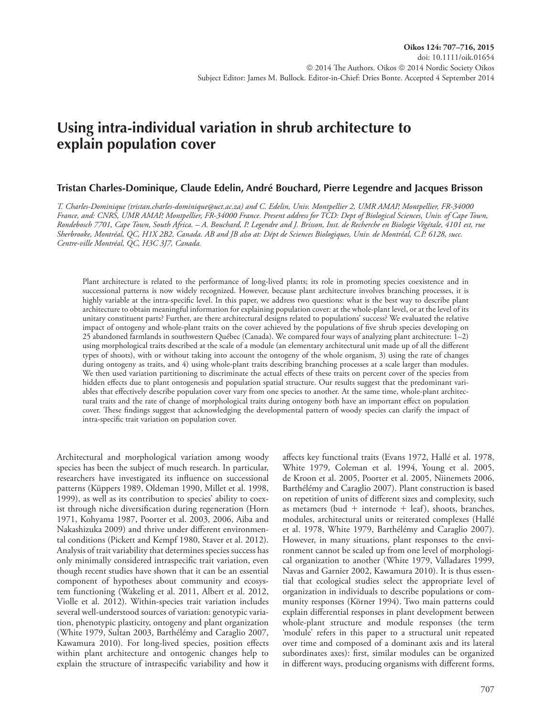# **Using intra-individual variation in shrub architecture to explain population cover**

### **Tristan Charles-Dominique, Claude Edelin, André Bouchard, Pierre Legendre and Jacques Brisson**

*T. Charles-Dominique (tristan.charles-dominique@uct.ac.za) and C. Edelin, Univ. Montpellier 2, UMR AMAP, Montpellier, FR-34000 France, and: CNRS, UMR AMAP, Montpellier, FR-34000 France. Present address for TCD: Dept of Biological Sciences, Univ. of Cape Town, Rondebosch 7701, Cape Town, South Africa. – A. Bouchard, P. Legendre and J. Brisson, Inst. de Recherche en Biologie Végétale, 4101 est, rue Sherbrooke, Montréal, QC, H1X 2B2, Canada. AB and JB also at: Dépt de Sciences Biologiques, Univ. de Montréal, C.P. 6128, succ. Centre-ville Montréal, QC, H3C 3J7, Canada.*

Plant architecture is related to the performance of long-lived plants; its role in promoting species coexistence and in successional patterns is now widely recognized. However, because plant architecture involves branching processes, it is highly variable at the intra-specific level. In this paper, we address two questions: what is the best way to describe plant architecture to obtain meaningful information for explaining population cover: at the whole-plant level, or at the level of its unitary constituent parts? Further, are there architectural designs related to populations' success? We evaluated the relative impact of ontogeny and whole-plant traits on the cover achieved by the populations of five shrub species developing on 25 abandoned farmlands in southwestern Québec (Canada). We compared four ways of analyzing plant architecture: 1–2) using morphological traits described at the scale of a module (an elementary architectural unit made up of all the different types of shoots), with or without taking into account the ontogeny of the whole organism, 3) using the rate of changes during ontogeny as traits, and 4) using whole-plant traits describing branching processes at a scale larger than modules. We then used variation partitioning to discriminate the actual effects of these traits on percent cover of the species from hidden effects due to plant ontogenesis and population spatial structure. Our results suggest that the predominant variables that effectively describe population cover vary from one species to another. At the same time, whole-plant architectural traits and the rate of change of morphological traits during ontogeny both have an important effect on population cover. These findings suggest that acknowledging the developmental pattern of woody species can clarify the impact of intra-specific trait variation on population cover.

Architectural and morphological variation among woody species has been the subject of much research. In particular, researchers have investigated its influence on successional patterns (Küppers 1989, Oldeman 1990, Millet et al. 1998, 1999), as well as its contribution to species' ability to coexist through niche diversification during regeneration (Horn 1971, Kohyama 1987, Poorter et al. 2003, 2006, Aiba and Nakashizuka 2009) and thrive under different environmental conditions (Pickett and Kempf 1980, Staver et al. 2012). Analysis of trait variability that determines species success has only minimally considered intraspecific trait variation, even though recent studies have shown that it can be an essential component of hypotheses about community and ecosystem functioning (Wakeling et al. 2011, Albert et al. 2012, Violle et al. 2012). Within-species trait variation includes several well-understood sources of variation: genotypic variation, phenotypic plasticity, ontogeny and plant organization (White 1979, Sultan 2003, Barthélémy and Caraglio 2007, Kawamura 2010). For long-lived species, position effects within plant architecture and ontogenic changes help to explain the structure of intraspecific variability and how it affects key functional traits (Evans 1972, Hallé et al. 1978, White 1979, Coleman et al. 1994, Young et al. 2005, de Kroon et al. 2005, Poorter et al. 2005, Niinemets 2006, Barthélémy and Caraglio 2007). Plant construction is based on repetition of units of different sizes and complexity, such as metamers (bud  $+$  internode  $+$  leaf), shoots, branches, modules, architectural units or reiterated complexes (Hallé et al. 1978, White 1979, Barthélémy and Caraglio 2007). However, in many situations, plant responses to the environment cannot be scaled up from one level of morphological organization to another (White 1979, Valladares 1999, Navas and Garnier 2002, Kawamura 2010). It is thus essential that ecological studies select the appropriate level of organization in individuals to describe populations or community responses (Körner 1994). Two main patterns could explain differential responses in plant development between whole-plant structure and module responses (the term 'module' refers in this paper to a structural unit repeated over time and composed of a dominant axis and its lateral subordinates axes): first, similar modules can be organized in different ways, producing organisms with different forms,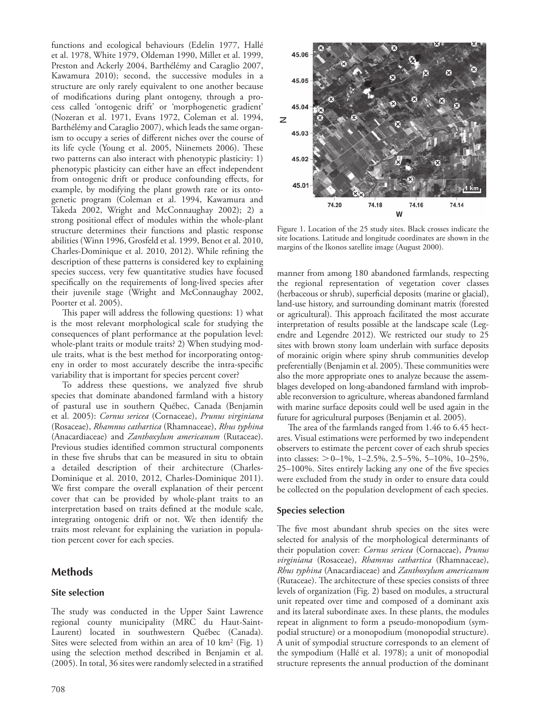functions and ecological behaviours (Edelin 1977, Hallé et al. 1978, White 1979, Oldeman 1990, Millet et al. 1999, Preston and Ackerly 2004, Barthélémy and Caraglio 2007, Kawamura 2010); second, the successive modules in a structure are only rarely equivalent to one another because of modifications during plant ontogeny, through a process called 'ontogenic drift' or 'morphogenetic gradient' (Nozeran et al. 1971, Evans 1972, Coleman et al. 1994, Barthélémy and Caraglio 2007), which leads the same organism to occupy a series of different niches over the course of its life cycle (Young et al. 2005, Niinemets 2006). These two patterns can also interact with phenotypic plasticity: 1) phenotypic plasticity can either have an effect independent from ontogenic drift or produce confounding effects, for example, by modifying the plant growth rate or its ontogenetic program (Coleman et al. 1994, Kawamura and Takeda 2002, Wright and McConnaughay 2002); 2) a strong positional effect of modules within the whole-plant structure determines their functions and plastic response abilities (Winn 1996, Grosfeld et al. 1999, Benot et al. 2010, Charles-Dominique et al. 2010, 2012). While refining the description of these patterns is considered key to explaining species success, very few quantitative studies have focused specifically on the requirements of long-lived species after their juvenile stage (Wright and McConnaughay 2002, Poorter et al. 2005).

This paper will address the following questions: 1) what is the most relevant morphological scale for studying the consequences of plant performance at the population level: whole-plant traits or module traits? 2) When studying module traits, what is the best method for incorporating ontogeny in order to most accurately describe the intra-specific variability that is important for species percent cover?

To address these questions, we analyzed five shrub species that dominate abandoned farmland with a history of pastural use in southern Québec, Canada (Benjamin et al. 2005): *Cornus sericea* (Cornaceae), *Prunus virginiana* (Rosaceae), *Rhamnus cathartica* (Rhamnaceae), *Rhus typhina* (Anacardiaceae) and *Zanthoxylum americanum* (Rutaceae). Previous studies identified common structural components in these five shrubs that can be measured in situ to obtain a detailed description of their architecture (Charles-Dominique et al. 2010, 2012, Charles-Dominique 2011). We first compare the overall explanation of their percent cover that can be provided by whole-plant traits to an interpretation based on traits defined at the module scale, integrating ontogenic drift or not. We then identify the traits most relevant for explaining the variation in population percent cover for each species.

# **Methods**

## **Site selection**

The study was conducted in the Upper Saint Lawrence regional county municipality (MRC du Haut-Saint-Laurent) located in southwestern Québec (Canada). Sites were selected from within an area of 10 km2 (Fig. 1) using the selection method described in Benjamin et al. (2005). In total, 36 sites were randomly selected in a stratified



Figure 1. Location of the 25 study sites. Black crosses indicate the site locations. Latitude and longitude coordinates are shown in the margins of the Ikonos satellite image (August 2000).

manner from among 180 abandoned farmlands, respecting the regional representation of vegetation cover classes (herbaceous or shrub), superficial deposits (marine or glacial), land-use history, and surrounding dominant matrix (forested or agricultural). This approach facilitated the most accurate interpretation of results possible at the landscape scale (Legendre and Legendre 2012). We restricted our study to 25 sites with brown stony loam underlain with surface deposits of morainic origin where spiny shrub communities develop preferentially (Benjamin et al. 2005). These communities were also the more appropriate ones to analyze because the assemblages developed on long-abandoned farmland with improbable reconversion to agriculture, whereas abandoned farmland with marine surface deposits could well be used again in the future for agricultural purposes (Benjamin et al. 2005).

The area of the farmlands ranged from 1.46 to 6.45 hectares. Visual estimations were performed by two independent observers to estimate the percent cover of each shrub species into classes: 0–1%, 1–2.5%, 2.5–5%, 5–10%, 10–25%, 25–100%. Sites entirely lacking any one of the five species were excluded from the study in order to ensure data could be collected on the population development of each species.

#### **Species selection**

The five most abundant shrub species on the sites were selected for analysis of the morphological determinants of their population cover: *Cornus sericea* (Cornaceae), *Prunus virginiana* (Rosaceae), *Rhamnus cathartica* (Rhamnaceae), *Rhus typhina* (Anacardiaceae) and *Zanthoxylum americanum* (Rutaceae). The architecture of these species consists of three levels of organization (Fig. 2) based on modules, a structural unit repeated over time and composed of a dominant axis and its lateral subordinate axes. In these plants, the modules repeat in alignment to form a pseudo-monopodium (sympodial structure) or a monopodium (monopodial structure). A unit of sympodial structure corresponds to an element of the sympodium (Hallé et al. 1978); a unit of monopodial structure represents the annual production of the dominant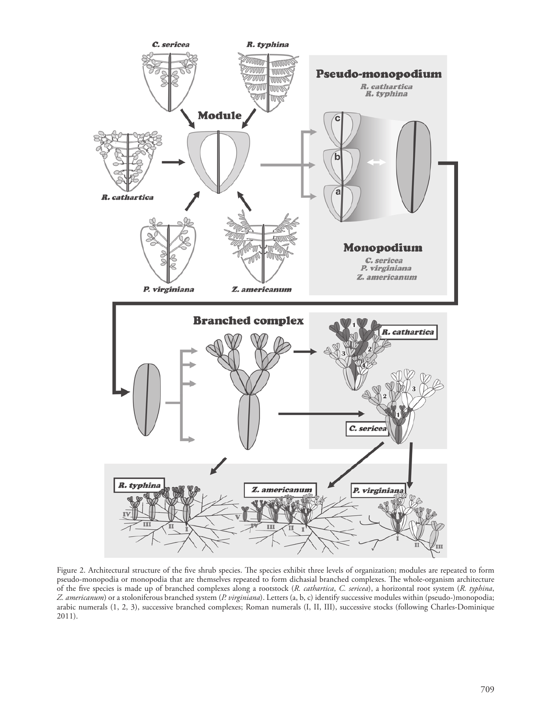

Figure 2. Architectural structure of the five shrub species. The species exhibit three levels of organization; modules are repeated to form pseudo-monopodia or monopodia that are themselves repeated to form dichasial branched complexes. The whole-organism architecture of the five species is made up of branched complexes along a rootstock (*R. cathartica*, *C. sericea*), a horizontal root system (*R. typhina*, *Z. americanum*) or a stoloniferous branched system (*P. virginiana*). Letters (a, b, c) identify successive modules within (pseudo-)monopodia; arabic numerals (1, 2, 3), successive branched complexes; Roman numerals (I, II, III), successive stocks (following Charles-Dominique 2011).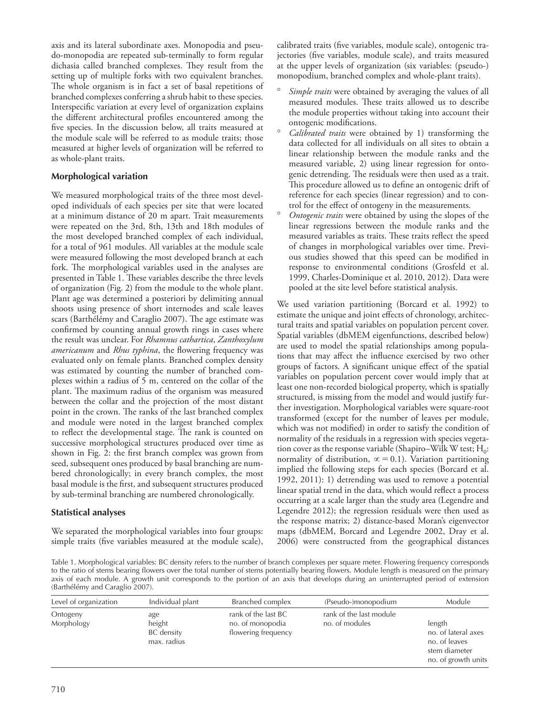axis and its lateral subordinate axes. Monopodia and pseudo-monopodia are repeated sub-terminally to form regular dichasia called branched complexes. They result from the setting up of multiple forks with two equivalent branches. The whole organism is in fact a set of basal repetitions of branched complexes conferring a shrub habit to these species. Interspecific variation at every level of organization explains the different architectural profiles encountered among the five species. In the discussion below, all traits measured at the module scale will be referred to as module traits; those measured at higher levels of organization will be referred to as whole-plant traits.

## **Morphological variation**

We measured morphological traits of the three most developed individuals of each species per site that were located at a minimum distance of 20 m apart. Trait measurements were repeated on the 3rd, 8th, 13th and 18th modules of the most developed branched complex of each individual, for a total of 961 modules. All variables at the module scale were measured following the most developed branch at each fork. The morphological variables used in the analyses are presented in Table 1. These variables describe the three levels of organization (Fig. 2) from the module to the whole plant. Plant age was determined a posteriori by delimiting annual shoots using presence of short internodes and scale leaves scars (Barthélémy and Caraglio 2007). The age estimate was confirmed by counting annual growth rings in cases where the result was unclear. For *Rhamnus cathartica*, *Zanthoxylum americanum* and *Rhus typhina*, the flowering frequency was evaluated only on female plants. Branched complex density was estimated by counting the number of branched complexes within a radius of 5 m, centered on the collar of the plant. The maximum radius of the organism was measured between the collar and the projection of the most distant point in the crown. The ranks of the last branched complex and module were noted in the largest branched complex to reflect the developmental stage. The rank is counted on successive morphological structures produced over time as shown in Fig. 2: the first branch complex was grown from seed, subsequent ones produced by basal branching are numbered chronologically; in every branch complex, the most basal module is the first, and subsequent structures produced by sub-terminal branching are numbered chronologically.

# **Statistical analyses**

We separated the morphological variables into four groups: simple traits (five variables measured at the module scale), calibrated traits (five variables, module scale), ontogenic trajectories (five variables, module scale), and traits measured at the upper levels of organization (six variables: (pseudo-) monopodium, branched complex and whole-plant traits).

- Simple traits were obtained by averaging the values of all measured modules. These traits allowed us to describe the module properties without taking into account their ontogenic modifications.
- Calibrated traits were obtained by 1) transforming the data collected for all individuals on all sites to obtain a linear relationship between the module ranks and the measured variable, 2) using linear regression for ontogenic detrending. The residuals were then used as a trait. This procedure allowed us to define an ontogenic drift of reference for each species (linear regression) and to control for the effect of ontogeny in the measurements.
- ° *Ontogenic traits* were obtained by using the slopes of the linear regressions between the module ranks and the measured variables as traits. These traits reflect the speed of changes in morphological variables over time. Previous studies showed that this speed can be modified in response to environmental conditions (Grosfeld et al. 1999, Charles-Dominique et al. 2010, 2012). Data were pooled at the site level before statistical analysis.

We used variation partitioning (Borcard et al. 1992) to estimate the unique and joint effects of chronology, architectural traits and spatial variables on population percent cover. Spatial variables (dbMEM eigenfunctions, described below) are used to model the spatial relationships among populations that may affect the influence exercised by two other groups of factors. A significant unique effect of the spatial variables on population percent cover would imply that at least one non-recorded biological property, which is spatially structured, is missing from the model and would justify further investigation. Morphological variables were square-root transformed (except for the number of leaves per module, which was not modified) in order to satisfy the condition of normality of the residuals in a regression with species vegetation cover as the response variable (Shapiro–Wilk W test;  $H_0$ : normality of distribution,  $\alpha = 0.1$ ). Variation partitioning implied the following steps for each species (Borcard et al. 1992, 2011): 1) detrending was used to remove a potential linear spatial trend in the data, which would reflect a process occurring at a scale larger than the study area (Legendre and Legendre 2012); the regression residuals were then used as the response matrix; 2) distance-based Moran's eigenvector maps (dbMEM, Borcard and Legendre 2002, Dray et al. 2006) were constructed from the geographical distances

Table 1. Morphological variables: BC density refers to the number of branch complexes per square meter. Flowering frequency corresponds to the ratio of stems bearing flowers over the total number of stems potentially bearing flowers. Module length is measured on the primary axis of each module. A growth unit corresponds to the portion of an axis that develops during an uninterrupted period of extension (Barthélémy and Caraglio 2007).

| Level of organization  | Individual plant                                  | Branched complex                                               | (Pseudo-)monopodium                       | Module                                                                                 |
|------------------------|---------------------------------------------------|----------------------------------------------------------------|-------------------------------------------|----------------------------------------------------------------------------------------|
| Ontogeny<br>Morphology | age<br>height<br><b>BC</b> density<br>max. radius | rank of the last BC<br>no. of monopodia<br>flowering frequency | rank of the last module<br>no. of modules | length<br>no. of lateral axes<br>no. of leaves<br>stem diameter<br>no. of growth units |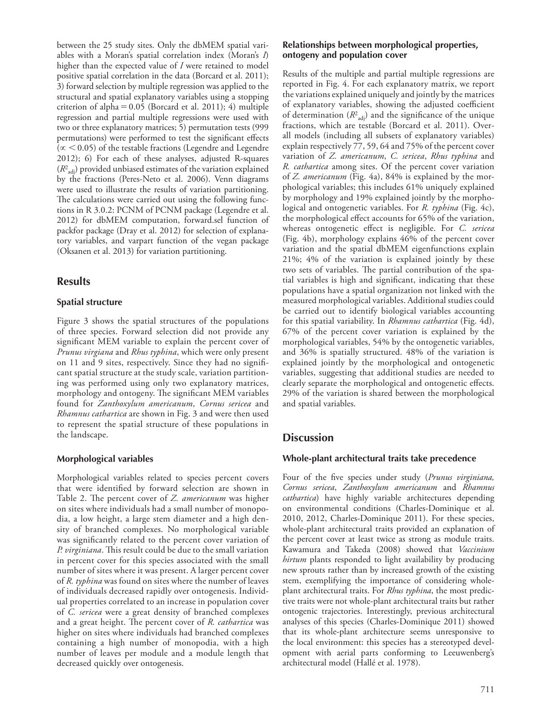between the 25 study sites. Only the dbMEM spatial variables with a Moran's spatial correlation index (Moran's *I*) higher than the expected value of *I* were retained to model positive spatial correlation in the data (Borcard et al. 2011); 3) forward selection by multiple regression was applied to the structural and spatial explanatory variables using a stopping criterion of alpha $=0.05$  (Borcard et al. 2011); 4) multiple regression and partial multiple regressions were used with two or three explanatory matrices; 5) permutation tests (999 permutations) were performed to test the significant effects  $(\propto$  < 0.05) of the testable fractions (Legendre and Legendre 2012); 6) For each of these analyses, adjusted R-squares (*R*<sup>2</sup> adj) provided unbiased estimates of the variation explained by the fractions (Peres-Neto et al. 2006). Venn diagrams were used to illustrate the results of variation partitioning. The calculations were carried out using the following functions in R 3.0.2: PCNM of PCNM package (Legendre et al. 2012) for dbMEM computation, forward.sel function of packfor package (Dray et al. 2012) for selection of explanatory variables, and varpart function of the vegan package (Oksanen et al. 2013) for variation partitioning.

# **Results**

#### **Spatial structure**

Figure 3 shows the spatial structures of the populations of three species. Forward selection did not provide any significant MEM variable to explain the percent cover of *Prunus virgiana* and *Rhus typhina*, which were only present on 11 and 9 sites, respectively. Since they had no significant spatial structure at the study scale, variation partitioning was performed using only two explanatory matrices, morphology and ontogeny. The significant MEM variables found for *Zanthoxylum americanum*, *Cornus sericea* and *Rhamnus cathartica* are shown in Fig. 3 and were then used to represent the spatial structure of these populations in the landscape.

## **Morphological variables**

Morphological variables related to species percent covers that were identified by forward selection are shown in Table 2. The percent cover of *Z. americanum* was higher on sites where individuals had a small number of monopodia, a low height, a large stem diameter and a high density of branched complexes. No morphological variable was significantly related to the percent cover variation of *P. virginiana*. This result could be due to the small variation in percent cover for this species associated with the small number of sites where it was present. A larger percent cover of *R. typhina* was found on sites where the number of leaves of individuals decreased rapidly over ontogenesis. Individual properties correlated to an increase in population cover of *C. sericea* were a great density of branched complexes and a great height. The percent cover of *R. cathartica* was higher on sites where individuals had branched complexes containing a high number of monopodia, with a high number of leaves per module and a module length that decreased quickly over ontogenesis.

#### **Relationships between morphological properties, ontogeny and population cover**

Results of the multiple and partial multiple regressions are reported in Fig. 4. For each explanatory matrix, we report the variations explained uniquely and jointly by the matrices of explanatory variables, showing the adjusted coefficient of determination  $(R^2_{\text{adj}})$  and the significance of the unique fractions, which are testable (Borcard et al. 2011). Overall models (including all subsets of explanatory variables) explain respectively 77, 59, 64 and 75% of the percent cover variation of *Z. americanum*, *C. sericea*, *Rhus typhina* and *R. cathartica* among sites. Of the percent cover variation of *Z. americanum* (Fig. 4a), 84% is explained by the morphological variables; this includes 61% uniquely explained by morphology and 19% explained jointly by the morphological and ontogenetic variables. For *R. typhina* (Fig. 4c), the morphological effect accounts for 65% of the variation, whereas ontogenetic effect is negligible. For *C. sericea* (Fig. 4b), morphology explains 46% of the percent cover variation and the spatial dbMEM eigenfunctions explain 21%; 4% of the variation is explained jointly by these two sets of variables. The partial contribution of the spatial variables is high and significant, indicating that these populations have a spatial organization not linked with the measured morphological variables. Additional studies could be carried out to identify biological variables accounting for this spatial variability. In *Rhamnus cathartica* (Fig. 4d), 67% of the percent cover variation is explained by the morphological variables, 54% by the ontogenetic variables, and 36% is spatially structured. 48% of the variation is explained jointly by the morphological and ontogenetic variables, suggesting that additional studies are needed to clearly separate the morphological and ontogenetic effects. 29% of the variation is shared between the morphological and spatial variables.

# **Discussion**

#### **Whole-plant architectural traits take precedence**

Four of the five species under study (*Prunus virginiana, Cornus sericea*, *Zanthoxylum americanum* and *Rhamnus cathartica*) have highly variable architectures depending on environmental conditions (Charles-Dominique et al. 2010, 2012, Charles-Dominique 2011). For these species, whole-plant architectural traits provided an explanation of the percent cover at least twice as strong as module traits. Kawamura and Takeda (2008) showed that *Vaccinium hirtum* plants responded to light availability by producing new sprouts rather than by increased growth of the existing stem, exemplifying the importance of considering wholeplant architectural traits. For *Rhus typhina*, the most predictive traits were not whole-plant architectural traits but rather ontogenic trajectories. Interestingly, previous architectural analyses of this species (Charles-Dominique 2011) showed that its whole-plant architecture seems unresponsive to the local environment: this species has a stereotyped development with aerial parts conforming to Leeuwenberg's architectural model (Hallé et al. 1978).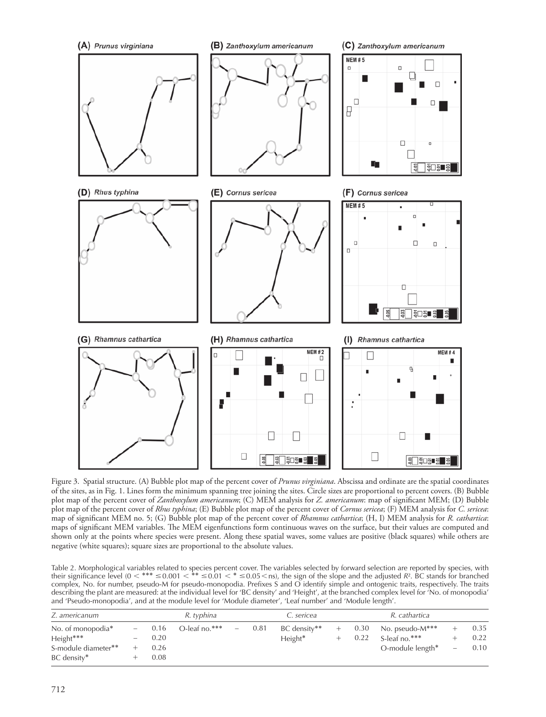

Figure 3. Spatial structure. (A) Bubble plot map of the percent cover of *Prunus virginiana*. Abscissa and ordinate are the spatial coordinates of the sites, as in Fig. 1. Lines form the minimum spanning tree joining the sites. Circle sizes are proportional to percent covers. (B) Bubble plot map of the percent cover of *Zanthoxylum americanum*; (C) MEM analysis for *Z. americanum*: map of significant MEM; (D) Bubble plot map of the percent cover of *Rhus typhina*; (E) Bubble plot map of the percent cover of *Cornus sericea*; (F) MEM analysis for *C. sericea*: map of significant MEM no. 5; (G) Bubble plot map of the percent cover of *Rhamnus cathartica*; (H, I) MEM analysis for *R. cathartica*: maps of significant MEM variables. The MEM eigenfunctions form continuous waves on the surface, but their values are computed and shown only at the points where species were present. Along these spatial waves, some values are positive (black squares) while others are negative (white squares); square sizes are proportional to the absolute values.

Table 2. Morphological variables related to species percent cover. The variables selected by forward selection are reported by species, with their significance level  $(0 < *^{**} \le 0.001 < * \le 0.01 < * \le 0.05$  (see Fig. ), the sign of the slope and the adjusted *R*<sup>2</sup>. BC stands for branched complex, No. for number, pseudo-M for pseudo-monopodia. Prefixes S and O identify simple and ontogenic traits, respectively. The traits describing the plant are measured: at the individual level for 'BC density' and 'Height', at the branched complex level for 'No. of monopodia' and 'Pseudo-monopodia', and at the module level for 'Module diameter', 'Leaf number' and 'Module length'.

| Z. americanum                              |          | R. typhina   |               |        | C. sericea |                           | R. cathartica |              |                                     |                          |              |
|--------------------------------------------|----------|--------------|---------------|--------|------------|---------------------------|---------------|--------------|-------------------------------------|--------------------------|--------------|
| No. of monopodia <sup>*</sup><br>Height*** | $-$<br>- | 0.16<br>0.20 | O-leaf no.*** | $\sim$ | 0.81       | BC density**<br>$Height*$ |               | 0.30<br>0.22 | No. pseudo-M***<br>S-leaf no. $***$ |                          | 0.35<br>0.22 |
| S-module diameter**<br>BC density*         |          | 0.26<br>0.08 |               |        |            |                           |               |              | O-module length*                    | $\overline{\phantom{m}}$ | 0.10         |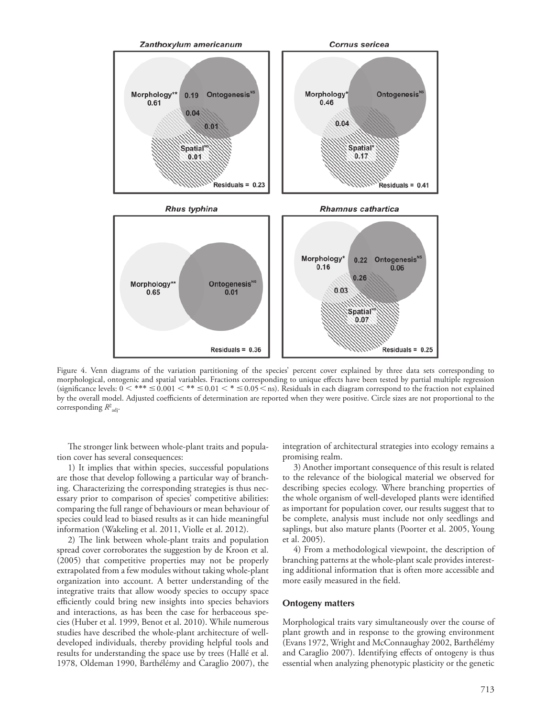

Figure 4. Venn diagrams of the variation partitioning of the species' percent cover explained by three data sets corresponding to morphological, ontogenic and spatial variables. Fractions corresponding to unique effects have been tested by partial multiple regression (significance levels:  $0 <*** \leq 0.001 <** \leq 0.01 <* \leq 0.05$  < ns). Residuals in each diagram correspond to the fraction not explained by the overall model. Adjusted coefficients of determination are reported when they were positive. Circle sizes are not proportional to the corresponding *R*<sup>2</sup> adj.

The stronger link between whole-plant traits and population cover has several consequences:

1) It implies that within species, successful populations are those that develop following a particular way of branching. Characterizing the corresponding strategies is thus necessary prior to comparison of species' competitive abilities: comparing the full range of behaviours or mean behaviour of species could lead to biased results as it can hide meaningful information (Wakeling et al. 2011, Violle et al. 2012).

2) The link between whole-plant traits and population spread cover corroborates the suggestion by de Kroon et al. (2005) that competitive properties may not be properly extrapolated from a few modules without taking whole-plant organization into account. A better understanding of the integrative traits that allow woody species to occupy space efficiently could bring new insights into species behaviors and interactions, as has been the case for herbaceous species (Huber et al. 1999, Benot et al. 2010). While numerous studies have described the whole-plant architecture of welldeveloped individuals, thereby providing helpful tools and results for understanding the space use by trees (Hallé et al. 1978, Oldeman 1990, Barthélémy and Caraglio 2007), the integration of architectural strategies into ecology remains a promising realm.

3) Another important consequence of this result is related to the relevance of the biological material we observed for describing species ecology. Where branching properties of the whole organism of well-developed plants were identified as important for population cover, our results suggest that to be complete, analysis must include not only seedlings and saplings, but also mature plants (Poorter et al. 2005, Young et al. 2005).

4) From a methodological viewpoint, the description of branching patterns at the whole-plant scale provides interesting additional information that is often more accessible and more easily measured in the field.

#### **Ontogeny matters**

Morphological traits vary simultaneously over the course of plant growth and in response to the growing environment (Evans 1972, Wright and McConnaughay 2002, Barthélémy and Caraglio 2007). Identifying effects of ontogeny is thus essential when analyzing phenotypic plasticity or the genetic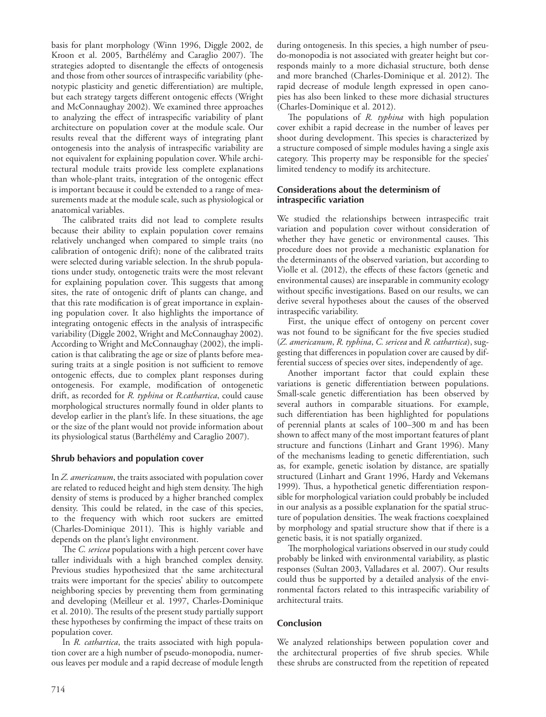basis for plant morphology (Winn 1996, Diggle 2002, de Kroon et al. 2005, Barthélémy and Caraglio 2007). The strategies adopted to disentangle the effects of ontogenesis and those from other sources of intraspecific variability (phenotypic plasticity and genetic differentiation) are multiple, but each strategy targets different ontogenic effects (Wright and McConnaughay 2002). We examined three approaches to analyzing the effect of intraspecific variability of plant architecture on population cover at the module scale. Our results reveal that the different ways of integrating plant ontogenesis into the analysis of intraspecific variability are not equivalent for explaining population cover. While architectural module traits provide less complete explanations than whole-plant traits, integration of the ontogenic effect is important because it could be extended to a range of measurements made at the module scale, such as physiological or anatomical variables.

The calibrated traits did not lead to complete results because their ability to explain population cover remains relatively unchanged when compared to simple traits (no calibration of ontogenic drift); none of the calibrated traits were selected during variable selection. In the shrub populations under study, ontogenetic traits were the most relevant for explaining population cover. This suggests that among sites, the rate of ontogenic drift of plants can change, and that this rate modification is of great importance in explaining population cover. It also highlights the importance of integrating ontogenic effects in the analysis of intraspecific variability (Diggle 2002, Wright and McConnaughay 2002). According to Wright and McConnaughay (2002), the implication is that calibrating the age or size of plants before measuring traits at a single position is not sufficient to remove ontogenic effects, due to complex plant responses during ontogenesis. For example, modification of ontogenetic drift, as recorded for *R. typhina* or *R.cathartica*, could cause morphological structures normally found in older plants to develop earlier in the plant's life. In these situations, the age or the size of the plant would not provide information about its physiological status (Barthélémy and Caraglio 2007).

## **Shrub behaviors and population cover**

In *Z. americanum*, the traits associated with population cover are related to reduced height and high stem density. The high density of stems is produced by a higher branched complex density. This could be related, in the case of this species, to the frequency with which root suckers are emitted (Charles-Dominique 2011). This is highly variable and depends on the plant's light environment.

The *C. sericea* populations with a high percent cover have taller individuals with a high branched complex density. Previous studies hypothesized that the same architectural traits were important for the species' ability to outcompete neighboring species by preventing them from germinating and developing (Meilleur et al. 1997, Charles-Dominique et al. 2010). The results of the present study partially support these hypotheses by confirming the impact of these traits on population cover.

In *R. cathartica*, the traits associated with high population cover are a high number of pseudo-monopodia, numerous leaves per module and a rapid decrease of module length during ontogenesis. In this species, a high number of pseudo-monopodia is not associated with greater height but corresponds mainly to a more dichasial structure, both dense and more branched (Charles-Dominique et al. 2012). The rapid decrease of module length expressed in open canopies has also been linked to these more dichasial structures (Charles-Dominique et al. 2012).

The populations of *R. typhina* with high population cover exhibit a rapid decrease in the number of leaves per shoot during development. This species is characterized by a structure composed of simple modules having a single axis category. This property may be responsible for the species' limited tendency to modify its architecture.

#### **Considerations about the determinism of intraspecific variation**

We studied the relationships between intraspecific trait variation and population cover without consideration of whether they have genetic or environmental causes. This procedure does not provide a mechanistic explanation for the determinants of the observed variation, but according to Violle et al. (2012), the effects of these factors (genetic and environmental causes) are inseparable in community ecology without specific investigations. Based on our results, we can derive several hypotheses about the causes of the observed intraspecific variability.

First, the unique effect of ontogeny on percent cover was not found to be significant for the five species studied (*Z. americanum*, *R. typhina*, *C. sericea* and *R. cathartica*), suggesting that differences in population cover are caused by differential success of species over sites, independently of age.

Another important factor that could explain these variations is genetic differentiation between populations. Small-scale genetic differentiation has been observed by several authors in comparable situations. For example, such differentiation has been highlighted for populations of perennial plants at scales of 100–300 m and has been shown to affect many of the most important features of plant structure and functions (Linhart and Grant 1996). Many of the mechanisms leading to genetic differentiation, such as, for example, genetic isolation by distance, are spatially structured (Linhart and Grant 1996, Hardy and Vekemans 1999). Thus, a hypothetical genetic differentiation responsible for morphological variation could probably be included in our analysis as a possible explanation for the spatial structure of population densities. The weak fractions coexplained by morphology and spatial structure show that if there is a genetic basis, it is not spatially organized.

The morphological variations observed in our study could probably be linked with environmental variability, as plastic responses (Sultan 2003, Valladares et al. 2007). Our results could thus be supported by a detailed analysis of the environmental factors related to this intraspecific variability of architectural traits.

## **Conclusion**

We analyzed relationships between population cover and the architectural properties of five shrub species. While these shrubs are constructed from the repetition of repeated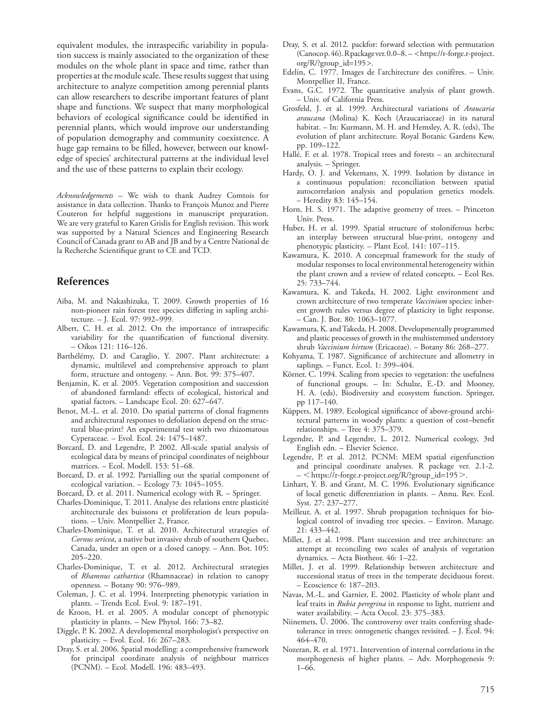equivalent modules, the intraspecific variability in population success is mainly associated to the organization of these modules on the whole plant in space and time, rather than properties at the module scale. These results suggest that using architecture to analyze competition among perennial plants can allow researchers to describe important features of plant shape and functions. We suspect that many morphological behaviors of ecological significance could be identified in perennial plants, which would improve our understanding of population demography and community coexistence. A huge gap remains to be filled, however, between our knowledge of species' architectural patterns at the individual level and the use of these patterns to explain their ecology.

*Acknowledgements –* We wish to thank Audrey Comtois for assistance in data collection. Thanks to François Munoz and Pierre Couteron for helpful suggestions in manuscript preparation. We are very grateful to Karen Grislis for English revision. This work was supported by a Natural Sciences and Engineering Research Council of Canada grant to AB and JB and by a Centre National de la Recherche Scientifique grant to CE and TCD.

# **References**

- Aiba, M. and Nakashizuka, T. 2009. Growth properties of 16 non-pioneer rain forest tree species differing in sapling architecture. – J. Ecol. 97: 992–999.
- Albert, C. H. et al. 2012. On the importance of intraspecific variability for the quantification of functional diversity. – Oikos 121: 116–126.
- Barthélémy, D. and Caraglio, Y. 2007. Plant architecture: a dynamic, multilevel and comprehensive approach to plant form, structure and ontogeny. – Ann. Bot. 99: 375–407.
- Benjamin, K. et al. 2005. Vegetation composition and succession of abandoned farmland: effects of ecological, historical and spatial factors. – Landscape Ecol. 20: 627–647.
- Benot, M.-L. et al. 2010. Do spatial patterns of clonal fragments and architectural responses to defoliation depend on the structural blue-print? An experimental test with two rhizomatous Cyperaceae. – Evol. Ecol. 24: 1475–1487.
- Borcard, D. and Legendre, P. 2002. All-scale spatial analysis of ecological data by means of principal coordinates of neighbour matrices. – Ecol. Modell. 153: 51–68.
- Borcard, D. et al. 1992. Partialling out the spatial component of ecological variation. – Ecology 73: 1045–1055.
- Borcard, D. et al. 2011. Numerical ecology with R. Springer.
- Charles-Dominique, T. 2011. Analyse des relations entre plasticité architecturale des buissons et proliferation de leurs populations. – Univ. Montpellier 2, France.
- Charles-Dominique, T. et al. 2010. Architectural strategies of *Cornus sericea*, a native but invasive shrub of southern Quebec, Canada, under an open or a closed canopy. – Ann. Bot. 105: 205–220.
- Charles-Dominique, T. et al. 2012. Architectural strategies of *Rhamnus cathartica* (Rhamnaceae) in relation to canopy openness. – Botany 90: 976–989.
- Coleman, J. C. et al. 1994. Interpreting phenotypic variation in plants. – Trends Ecol. Evol. 9: 187–191.
- de Kroon, H. et al. 2005. A modular concept of phenotypic plasticity in plants. – New Phytol. 166: 73–82.
- Diggle, P. K. 2002. A developmental morphologist's perspective on plasticity. – Evol. Ecol. 16: 267–283.
- Dray, S. et al. 2006. Spatial modelling: a comprehensive framework for principal coordinate analysis of neighbour matrices (PCNM). – Ecol. Modell. 196: 483–493.
- Dray, S. et al. 2012. packfor: forward selection with permutation (Canoco p. 46). R package ver. 0.0–8. – <https://r-forge.r-project. org/R/?group\_id=195>.
- Edelin, C. 1977. Images de l'architecture des conifères. Univ. Montpellier II, France.
- Evans, G.C. 1972. The quantitative analysis of plant growth. – Univ. of California Press.
- Grosfeld, J. et al. 1999. Architectural variations of *Araucaria araucana* (Molina) K. Koch (Araucariaceae) in its natural habitat. – In: Kurmann, M. H. and Hemsley, A. R. (eds), The evolution of plant architecture. Royal Botanic Gardens Kew, pp. 109–122.
- Hallé, F. et al. 1978. Tropical trees and forests an architectural analysis. – Springer.
- Hardy, O. J. and Vekemans, X. 1999. Isolation by distance in a continuous population: reconciliation between spatial autocorrelation analysis and population genetics models. – Heredity 83: 145–154.
- Horn, H. S. 1971. The adaptive geometry of trees. Princeton Univ. Press.
- Huber, H. et al. 1999. Spatial structure of stoloniferous herbs: an interplay between structural blue-print, ontogeny and phenotypic plasticity. – Plant Ecol. 141: 107–115.
- Kawamura, K. 2010. A conceptual framework for the study of modular responses to local environmental heterogeneity within the plant crown and a review of related concepts. – Ecol Res. 25: 733–744.
- Kawamura, K. and Takeda, H. 2002. Light environment and crown architecture of two temperate *Vaccinium* species: inherent growth rules versus degree of plasticity in light response. – Can. J. Bot. 80: 1063–1077.
- Kawamura, K. and Takeda, H. 2008. Developmentally programmed and plastic processes of growth in the multistemmed understory shrub *Vaccinium hirtum* (Ericaceae). – Botany 86: 268–277.
- Kohyama, T. 1987. Significance of architecture and allometry in saplings. – Funct. Ecol. 1: 399–404.
- Körner, C. 1994. Scaling from species to vegetation: the usefulness of functional groups. – In: Schulze, E.-D. and Mooney, H. A. (eds), Biodiversity and ecosystem function. Springer, pp 117–140.
- Küppers, M. 1989. Ecological significance of above-ground architectural patterns in woody plants: a question of cost–benefit relationships. – Tree 4: 375–379.
- Legendre, P. and Legendre, L. 2012. Numerical ecology, 3rd English edn. – Elsevier Science.
- Legendre, P. et al. 2012. PCNM: MEM spatial eigenfunction and principal coordinate analyses. R package ver. 2.1-2. – < https://r-forge.r-project.org/R/?group\_id=195>.
- Linhart, Y. B. and Grant, M. C. 1996. Evolutionary significance of local genetic differentiation in plants. – Annu. Rev. Ecol. Syst. 27: 237–277.
- Meilleur, A. et al. 1997. Shrub propagation techniques for biological control of invading tree species. – Environ. Manage. 21: 433–442.
- Millet, J. et al. 1998. Plant succession and tree architecture: an attempt at reconciling two scales of analysis of vegetation dynamics. – Acta Biotheor. 46: 1–22.
- Millet, J. et al. 1999. Relationship between architecture and successional status of trees in the temperate deciduous forest. – Ecoscience 6: 187–203.
- Navas, M.-L. and Garnier, E. 2002. Plasticity of whole plant and leaf traits in *Rubia peregrina* in response to light, nutrient and water availability. – Acta Oecol. 23: 375–383.
- Niinemets, Ü. 2006. The controversy over traits conferring shadetolerance in trees: ontogenetic changes revisited. – J. Ecol. 94: 464–470.
- Nozeran, R. et al. 1971. Intervention of internal correlations in the morphogenesis of higher plants. – Adv. Morphogenesis 9: 1–66.